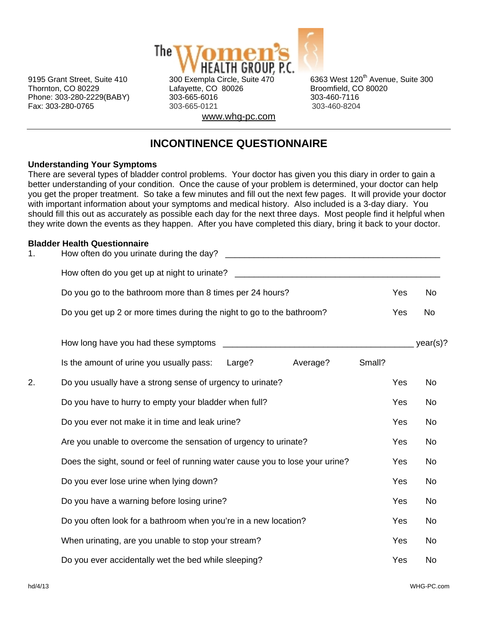

Thornton, CO 80229 Lafayette, CO 80026 Broomfield, CO 80020 Phone: 303-280-2229(BABY) 303-665-6016 303-460-7116 Fax: 303-280-0765 303-665-0121 303-460-8204 www.whg-pc.com

9195 Grant Street, Suite 410 300 Exempla Circle, Suite  $470$  6363 West 120<sup>th</sup> Avenue, Suite 300

# **INCONTINENCE QUESTIONNAIRE**

## **Understanding Your Symptoms**

There are several types of bladder control problems. Your doctor has given you this diary in order to gain a better understanding of your condition. Once the cause of your problem is determined, your doctor can help you get the proper treatment. So take a few minutes and fill out the next few pages. It will provide your doctor with important information about your symptoms and medical history. Also included is a 3-day diary. You should fill this out as accurately as possible each day for the next three days. Most people find it helpful when they write down the events as they happen. After you have completed this diary, bring it back to your doctor.

## **Bladder Health Questionnaire**

| 1. | How often do you urinate during the day?<br><u> 1989 - Jan Barnett, fransk politik (d. 1989)</u> |        |          |  |  |  |  |  |  |  |  |  |
|----|--------------------------------------------------------------------------------------------------|--------|----------|--|--|--|--|--|--|--|--|--|
|    | How often do you get up at night to urinate? ___________________________________                 |        |          |  |  |  |  |  |  |  |  |  |
|    | Do you go to the bathroom more than 8 times per 24 hours?                                        | Yes    | No       |  |  |  |  |  |  |  |  |  |
|    | Do you get up 2 or more times during the night to go to the bathroom?                            | Yes    | No       |  |  |  |  |  |  |  |  |  |
|    | How long have you had these symptoms                                                             |        | year(s)? |  |  |  |  |  |  |  |  |  |
|    | Large?<br>Average?<br>Is the amount of urine you usually pass:                                   | Small? |          |  |  |  |  |  |  |  |  |  |
| 2. | Do you usually have a strong sense of urgency to urinate?                                        | Yes    | No       |  |  |  |  |  |  |  |  |  |
|    | Do you have to hurry to empty your bladder when full?                                            | Yes    | No       |  |  |  |  |  |  |  |  |  |
|    | Do you ever not make it in time and leak urine?                                                  | Yes    | No       |  |  |  |  |  |  |  |  |  |
|    | Are you unable to overcome the sensation of urgency to urinate?                                  | Yes    | No       |  |  |  |  |  |  |  |  |  |
|    | Does the sight, sound or feel of running water cause you to lose your urine?                     | Yes    | No       |  |  |  |  |  |  |  |  |  |
|    | Do you ever lose urine when lying down?                                                          | Yes    | No       |  |  |  |  |  |  |  |  |  |
|    | Do you have a warning before losing urine?                                                       | Yes    | No       |  |  |  |  |  |  |  |  |  |
|    | Do you often look for a bathroom when you're in a new location?                                  | Yes    | No       |  |  |  |  |  |  |  |  |  |
|    | When urinating, are you unable to stop your stream?                                              | Yes    | No       |  |  |  |  |  |  |  |  |  |
|    | Do you ever accidentally wet the bed while sleeping?                                             | Yes    | No       |  |  |  |  |  |  |  |  |  |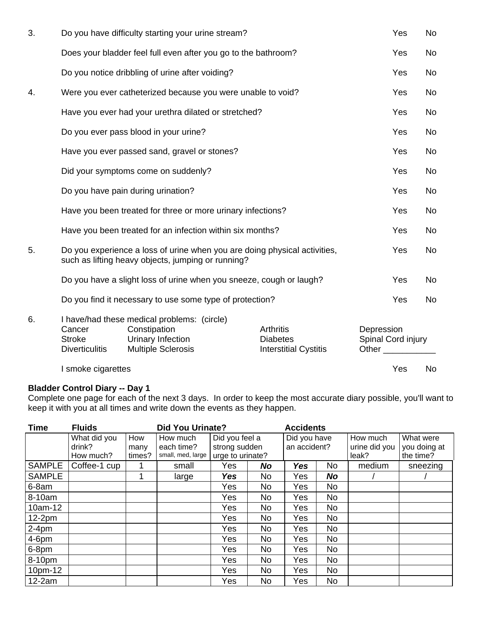| 3. | Do you have difficulty starting your urine stream?          |                                                                                                                                 |     |                                                                     |            | Yes                                | <b>No</b> |
|----|-------------------------------------------------------------|---------------------------------------------------------------------------------------------------------------------------------|-----|---------------------------------------------------------------------|------------|------------------------------------|-----------|
|    |                                                             | Does your bladder feel full even after you go to the bathroom?                                                                  |     |                                                                     |            | Yes                                | No        |
|    |                                                             | Do you notice dribbling of urine after voiding?                                                                                 |     |                                                                     |            | Yes                                | No        |
| 4. |                                                             | Were you ever catheterized because you were unable to void?                                                                     |     |                                                                     |            | Yes                                | No        |
|    |                                                             | Have you ever had your urethra dilated or stretched?                                                                            |     |                                                                     |            | Yes                                | No        |
|    |                                                             | Do you ever pass blood in your urine?                                                                                           |     |                                                                     |            | Yes                                | No        |
|    |                                                             | Have you ever passed sand, gravel or stones?                                                                                    |     |                                                                     |            | Yes                                | No        |
|    |                                                             | Did your symptoms come on suddenly?                                                                                             |     |                                                                     |            | Yes                                | No        |
|    | Do you have pain during urination?                          |                                                                                                                                 | Yes | <b>No</b>                                                           |            |                                    |           |
|    | Have you been treated for three or more urinary infections? |                                                                                                                                 | Yes | <b>No</b>                                                           |            |                                    |           |
|    |                                                             | Have you been treated for an infection within six months?                                                                       |     |                                                                     |            | Yes                                | No        |
| 5. |                                                             | Do you experience a loss of urine when you are doing physical activities,<br>such as lifting heavy objects, jumping or running? |     |                                                                     |            | Yes                                | No        |
|    |                                                             | Do you have a slight loss of urine when you sneeze, cough or laugh?                                                             |     |                                                                     |            | Yes                                | No        |
|    |                                                             | Do you find it necessary to use some type of protection?                                                                        |     |                                                                     |            | Yes                                | No        |
| 6. | Cancer<br><b>Stroke</b><br><b>Diverticulitis</b>            | I have/had these medical problems: (circle)<br>Constipation<br>Urinary Infection<br><b>Multiple Sclerosis</b>                   |     | <b>Arthritis</b><br><b>Diabetes</b><br><b>Interstitial Cystitis</b> | Depression | Spinal Cord injury<br>Other $\_\_$ |           |
|    | I smoke cigarettes                                          |                                                                                                                                 |     |                                                                     |            | Yes                                | No        |

#### **Bladder Control Diary -- Day 1**

Complete one page for each of the next 3 days. In order to keep the most accurate diary possible, you'll want to keep it with you at all times and write down the events as they happen.

| <b>Time</b>   | <b>Fluids</b><br><b>Did You Urinate?</b> |                       |                                             |                                                     |     | <b>Accidents</b>             |    |                                    |                                        |
|---------------|------------------------------------------|-----------------------|---------------------------------------------|-----------------------------------------------------|-----|------------------------------|----|------------------------------------|----------------------------------------|
|               | What did you<br>drink?<br>How much?      | How<br>many<br>times? | How much<br>each time?<br>small, med, large | Did you feel a<br>strong sudden<br>urge to urinate? |     | Did you have<br>an accident? |    | How much<br>urine did you<br>leak? | What were<br>you doing at<br>the time? |
| <b>SAMPLE</b> | Coffee-1 cup                             | 1                     | small                                       | Yes                                                 | No  | <b>Yes</b>                   | No | medium                             | sneezing                               |
| <b>SAMPLE</b> |                                          | 1                     | large                                       | Yes                                                 | No. | Yes                          | No |                                    |                                        |
| 6-8am         |                                          |                       |                                             | Yes                                                 | No. | Yes                          | No |                                    |                                        |
| 8-10am        |                                          |                       |                                             | Yes                                                 | No  | Yes                          | No |                                    |                                        |
| 10am-12       |                                          |                       |                                             | Yes                                                 | No  | Yes                          | No |                                    |                                        |
| $12-2pm$      |                                          |                       |                                             | Yes                                                 | No  | Yes                          | No |                                    |                                        |
| $2-4pm$       |                                          |                       |                                             | Yes                                                 | No  | Yes                          | No |                                    |                                        |
| $4-6$ pm      |                                          |                       |                                             | Yes                                                 | No. | Yes                          | No |                                    |                                        |
| 6-8pm         |                                          |                       |                                             | Yes                                                 | No  | Yes                          | No |                                    |                                        |
| 8-10pm        |                                          |                       |                                             | Yes                                                 | No. | Yes                          | No |                                    |                                        |
| 10pm-12       |                                          |                       |                                             | Yes                                                 | No  | Yes                          | No |                                    |                                        |
| $12-2am$      |                                          |                       |                                             | Yes                                                 | No. | Yes                          | No |                                    |                                        |